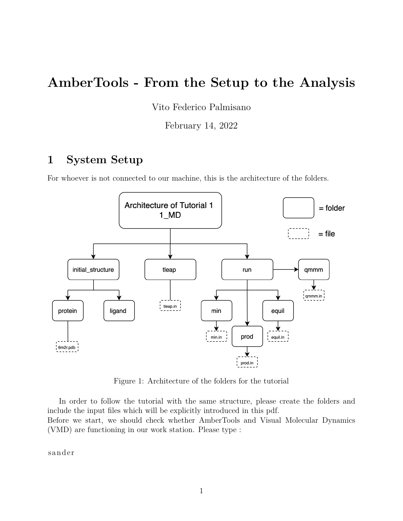# **AmberTools - From the Setup to the Analysis**

Vito Federico Palmisano

February 14, 2022

## **1 System Setup**

For whoever is not connected to our machine, this is the architecture of the folders.



Figure 1: Architecture of the folders for the tutorial

In order to follow the tutorial with the same structure, please create the folders and include the input files which will be explicitly introduced in this pdf. Before we start, we should check whether AmberTools and Visual Molecular Dynamics (VMD) are functioning in our work station. Please type :

sande r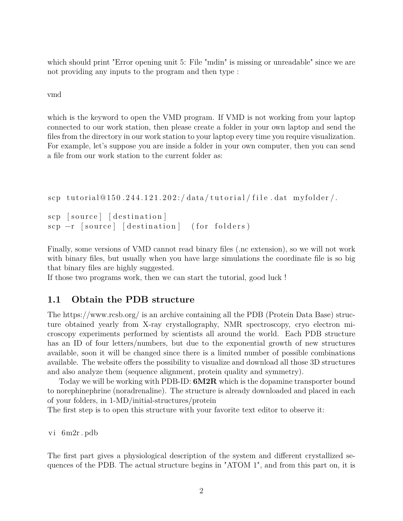which should print "Error opening unit 5: File "mdin" is missing or unreadable" since we are not providing any inputs to the program and then type :

vmd

which is the keyword to open the VMD program. If VMD is not working from your laptop connected to our work station, then please create a folder in your own laptop and send the files from the directory in our work station to your laptop every time you require visualization. For example, let's suppose you are inside a folder in your own computer, then you can send a file from our work station to the current folder as:

scp tutorial@150.244.121.202:/data/tutorial/file.dat myfolder/.

```
scp [source] [destination]
\lvert \text{source} \rvert = \lvert \text{destination} \rvert = \lvert \text{for foldsers} \rvert
```
Finally, some versions of VMD cannot read binary files (.nc extension), so we will not work with binary files, but usually when you have large simulations the coordinate file is so big that binary files are highly suggested.

If those two programs work, then we can start the tutorial, good luck !

#### **1.1 Obtain the PDB structure**

The https://www.rcsb.org/ is an archive containing all the PDB (Protein Data Base) structure obtained yearly from X-ray crystallography, NMR spectroscopy, cryo electron microscopy experiments performed by scientists all around the world. Each PDB structure has an ID of four letters/numbers, but due to the exponential growth of new structures available, soon it will be changed since there is a limited number of possible combinations available. The website offers the possibility to visualize and download all those 3D structures and also analyze them (sequence alignment, protein quality and symmetry).

Today we will be working with PDB-ID: **6M2R** which is the dopamine transporter bound to norephinephrine (noradrenaline). The structure is already downloaded and placed in each of your folders, in 1-MD/initial-structures/protein

The first step is to open this structure with your favorite text editor to observe it:

vi 6m2r . pdb

The first part gives a physiological description of the system and different crystallized sequences of the PDB. The actual structure begins in "ATOM 1", and from this part on, it is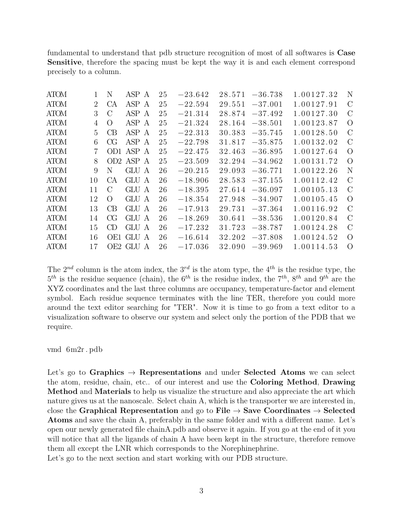fundamental to understand that pdb structure recognition of most of all softwares is **Case Sensitive**, therefore the spacing must be kept the way it is and each element correspond precisely to a column.

| <b>ATOM</b> |                             | Ν                | ASP A     | 25 | $-23.642$ | 28.571 | $-36.738$ | 1.00127.32 | N             |
|-------------|-----------------------------|------------------|-----------|----|-----------|--------|-----------|------------|---------------|
| <b>ATOM</b> | $\mathcal{D}_{\mathcal{L}}$ | CA               | ASP A     | 25 | $-22.594$ | 29.551 | $-37.001$ | 1.00127.91 | $\mathcal{C}$ |
| <b>ATOM</b> | 3                           | $\mathcal{C}$    | ASP A     | 25 | $-21.314$ | 28.874 | $-37.492$ | 1.00127.30 | $\mathcal{C}$ |
| <b>ATOM</b> | 4                           | $\left( \right)$ | ASP A     | 25 | $-21.324$ | 28.164 | $-38.501$ | 1.00123.87 | $\Omega$      |
| <b>ATOM</b> | 5                           | CB               | ASP A     | 25 | $-22.313$ | 30.383 | $-35.745$ | 1.00128.50 | $\mathcal{C}$ |
| <b>ATOM</b> | 6                           | СG               | ASP A     | 25 | $-22.798$ | 31.817 | $-35.875$ | 1.00132.02 | $\mathcal{C}$ |
| <b>ATOM</b> | 7                           | OD <sub>1</sub>  | ASP A     | 25 | $-22.475$ | 32.463 | $-36.895$ | 1.00127.64 | $\Omega$      |
| <b>ATOM</b> | 8                           | OD2              | ASP A     | 25 | $-23.509$ | 32.294 | $-34.962$ | 1.00131.72 | $\Omega$      |
| <b>ATOM</b> | 9                           | N                | GLU A     | 26 | $-20.215$ | 29.093 | $-36.771$ | 1.00122.26 | N             |
| <b>ATOM</b> | 10                          | CА               | GLU A     | 26 | $-18.906$ | 28.583 | $-37.155$ | 1.00112.42 | $\mathcal{C}$ |
| <b>ATOM</b> | 11                          | $\Gamma$         | GLU A     | 26 | $-18.395$ | 27.614 | $-36.097$ | 1.00105.13 | $\mathcal{C}$ |
| <b>ATOM</b> | 12                          | $\left( \right)$ | GLU A     | 26 | $-18.354$ | 27.948 | $-34.907$ | 1.00105.45 | $\Omega$      |
| <b>ATOM</b> | 13                          | СB               | GLU A     | 26 | $-17.913$ | 29.731 | $-37.364$ | 1.00116.92 | $\mathcal{C}$ |
| <b>ATOM</b> | 14                          | CG               | GLU A     | 26 | $-18.269$ | 30.641 | $-38.536$ | 1.00120.84 | $\mathcal{C}$ |
| <b>ATOM</b> | 15                          | CD               | GLU A     | 26 | $-17.232$ | 31.723 | $-38.787$ | 1.00124.28 | $\mathcal{C}$ |
| <b>ATOM</b> | 16                          | OE1              | GLU A     | 26 | $-16.614$ | 32.202 | $-37.808$ | 1.00124.52 | $\Omega$      |
| <b>ATOM</b> | 17                          |                  | OE2 GLU A | 26 | $-17.036$ | 32.090 | $-39.969$ | 1.00114.53 | $\Omega$      |

The  $2^{nd}$  column is the atom index, the  $3^{rd}$  is the atom type, the  $4^{th}$  is the residue type, the  $5<sup>th</sup>$  is the residue sequence (chain), the  $6<sup>th</sup>$  is the residue index, the  $7<sup>th</sup>$ ,  $8<sup>th</sup>$  and  $9<sup>th</sup>$  are the XYZ coordinates and the last three columns are occupancy, temperature-factor and element symbol. Each residue sequence terminates with the line TER, therefore you could more around the text editor searching for "TER". Now it is time to go from a text editor to a visualization software to observe our system and select only the portion of the PDB that we require.

#### vmd 6m2r . pdb

Let's go to **Graphics**  $\rightarrow$  **Representations** and under **Selected Atoms** we can select the atom, residue, chain, etc.. of our interest and use the **Coloring Method**, **Drawing Method** and **Materials** to help us visualize the structure and also appreciate the art which nature gives us at the nanoscale. Select chain A, which is the transporter we are interested in, close the **Graphical Representation** and go to **File** → **Save Coordinates** → **Selected Atoms** and save the chain A, preferably in the same folder and with a different name. Let's open our newly generated file chainA.pdb and observe it again. If you go at the end of it you will notice that all the ligands of chain A have been kept in the structure, therefore remove them all except the LNR which corresponds to the Norephinephrine.

Let's go to the next section and start working with our PDB structure.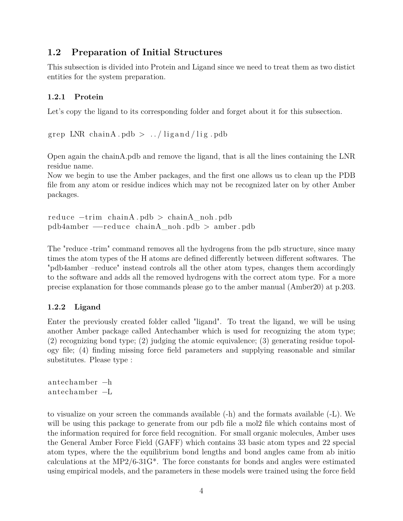### **1.2 Preparation of Initial Structures**

This subsection is divided into Protein and Ligand since we need to treat them as two distict entities for the system preparation.

#### **1.2.1 Protein**

Let's copy the ligand to its corresponding folder and forget about it for this subsection.

```
grep LNR chainA. pdb > ../ligand/lig. pdb
```
Open again the chainA.pdb and remove the ligand, that is all the lines containing the LNR residue name.

Now we begin to use the Amber packages, and the first one allows us to clean up the PDB file from any atom or residue indices which may not be recognized later on by other Amber packages.

```
reduce −t rim chainA . pdb > chainA_noh . pdb
pdb4amber −−reduce chainA_noh . pdb > amber . pdb
```
The "reduce -trim" command removes all the hydrogens from the pdb structure, since many times the atom types of the H atoms are defined differently between different softwares. The "pdb4amber –reduce" instead controls all the other atom types, changes them accordingly to the software and adds all the removed hydrogens with the correct atom type. For a more precise explanation for those commands please go to the amber manual (Amber20) at p.203.

#### **1.2.2 Ligand**

Enter the previously created folder called "ligand". To treat the ligand, we will be using another Amber package called Antechamber which is used for recognizing the atom type; (2) recognizing bond type; (2) judging the atomic equivalence; (3) generating residue topology file; (4) finding missing force field parameters and supplying reasonable and similar substitutes. Please type :

antechamber −h antechamber −L

to visualize on your screen the commands available (-h) and the formats available (-L). We will be using this package to generate from our pdb file a mol2 file which contains most of the information required for force field recognition. For small organic molecules, Amber uses the General Amber Force Field (GAFF) which contains 33 basic atom types and 22 special atom types, where the the equilibrium bond lengths and bond angles came from ab initio calculations at the MP2/6-31G\*. The force constants for bonds and angles were estimated using empirical models, and the parameters in these models were trained using the force field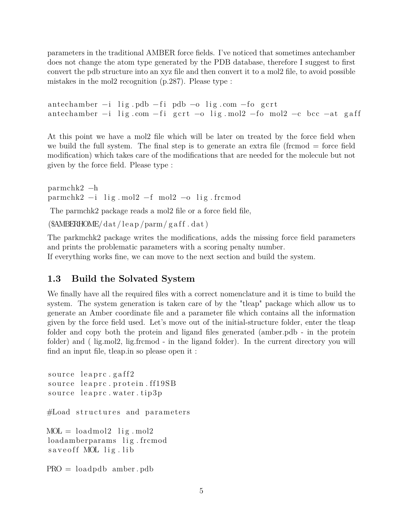parameters in the traditional AMBER force fields. I've noticed that sometimes antechamber does not change the atom type generated by the PDB database, therefore I suggest to first convert the pdb structure into an xyz file and then convert it to a mol2 file, to avoid possible mistakes in the mol2 recognition (p.287). Please type :

```
antechamber -i lig . pdb -fi pdb -o lig . com -fo gcrt
antechamber -i lig.com -f_i gcrt -o lig.mol2 -f_0 mol2 -c bcc -at gaff
```
At this point we have a mol2 file which will be later on treated by the force field when we build the full system. The final step is to generate an extra file (frcmod = force field modification) which takes care of the modifications that are needed for the molecule but not given by the force field. Please type :

parmchk2 −h parmchk2  $-i$  lig mol2  $-f$  mol2  $-o$  lig frcmod

The parmchk2 package reads a mol2 file or a force field file,

 $(\text{SAMBERHOME}/\text{dat}/\text{lean}/\text{parm}/\text{gaff}. \text{dat})$ 

The parkmchk2 package writes the modifications, adds the missing force field parameters and prints the problematic parameters with a scoring penalty number.

If everything works fine, we can move to the next section and build the system.

#### **1.3 Build the Solvated System**

We finally have all the required files with a correct nomenclature and it is time to build the system. The system generation is taken care of by the "tleap" package which allow us to generate an Amber coordinate file and a parameter file which contains all the information given by the force field used. Let's move out of the initial-structure folder, enter the tleap folder and copy both the protein and ligand files generated (amber.pdb - in the protein folder) and ( lig.mol2, lig.frcmod - in the ligand folder). In the current directory you will find an input file, tleap.in so please open it :

```
source leaprc.gaff2
source leaprc.protein.ff19SB
source leaprc.water.tip3p
#Load structures and parameters
MOL = loadmol2 lig.mol2
loadamberparams lig.frcmod
s a ve of f MOL lig. lib
PRO = loadpdb amber . pdb
```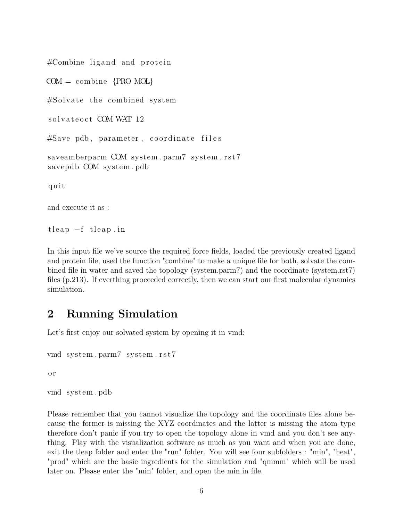$\#\text{Combine ligand and protein}$ 

 $COM = \text{combine } \{ \text{PRO MOL} \}$ 

 $#Solved$  the combined system

solvateoct COM WAT 12

#Save pdb, parameter, coordinate files

saveamberparm COM system.parm7 system.rst7 savepdb COM system . pdb

q ui t

and execute it as :

 $t \, \text{leap} -f \, t \, \text{leap.in}$ 

In this input file we've source the required force fields, loaded the previously created ligand and protein file, used the function "combine" to make a unique file for both, solvate the combined file in water and saved the topology (system.parm7) and the coordinate (system.rst7) files (p.213). If everthing proceeded correctly, then we can start our first molecular dynamics simulation.

### **2 Running Simulation**

Let's first enjoy our solvated system by opening it in vmd:

```
vmd system.parm7 system.rst7
```
o r

vmd system . pdb

Please remember that you cannot visualize the topology and the coordinate files alone because the former is missing the XYZ coordinates and the latter is missing the atom type therefore don't panic if you try to open the topology alone in vmd and you don't see anything. Play with the visualization software as much as you want and when you are done, exit the tleap folder and enter the "run" folder. You will see four subfolders : "min", "heat", "prod" which are the basic ingredients for the simulation and "qmmm" which will be used later on. Please enter the "min" folder, and open the min.in file.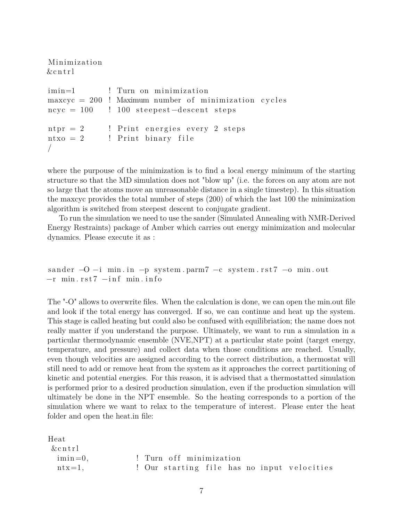Minimiza tion  $&$  c n t r l

```
imin=1 ! Turn on minimization
maxcyc = 200 ! Maximum number of minimization cycles
\rm ncyc = 100 ! 100 steepest-descent steps
n_{\text{tr}} = 2 ! Print energies every 2 steps
ntxo = 2 ! Print binary file
/
```
where the purpouse of the minimization is to find a local energy minimum of the starting structure so that the MD simulation does not "blow up" (i.e. the forces on any atom are not so large that the atoms move an unreasonable distance in a single timestep). In this situation the maxcyc provides the total number of steps (200) of which the last 100 the minimization algorithm is switched from steepest descent to conjugate gradient.

To run the simulation we need to use the sander (Simulated Annealing with NMR-Derived Energy Restraints) package of Amber which carries out energy minimization and molecular dynamics. Please execute it as :

sander  $-O -i$  min. in  $-p$  system . parm7  $-c$  system . rst7  $-o$  min. out −r min . r s t 7 −i n f min . i nf o

The "-O" allows to overwrite files. When the calculation is done, we can open the min.out file and look if the total energy has converged. If so, we can continue and heat up the system. This stage is called heating but could also be confused with equilibriation; the name does not really matter if you understand the purpose. Ultimately, we want to run a simulation in a particular thermodynamic ensemble (NVE,NPT) at a particular state point (target energy, temperature, and pressure) and collect data when those conditions are reached. Usually, even though velocities are assigned according to the correct distribution, a thermostat will still need to add or remove heat from the system as it approaches the correct partitioning of kinetic and potential energies. For this reason, it is advised that a thermostatted simulation is performed prior to a desired production simulation, even if the production simulation will ultimately be done in the NPT ensemble. So the heating corresponds to a portion of the simulation where we want to relax to the temperature of interest. Please enter the heat folder and open the heat.in file:

```
Heat
 &c n t r l
  imin =0, ! Turn o f f mi nimi za tio n
  ntx=1, let \sum_{i=1}^{n} let \sum_{i=1}^{n} our starting file has no input velocities
```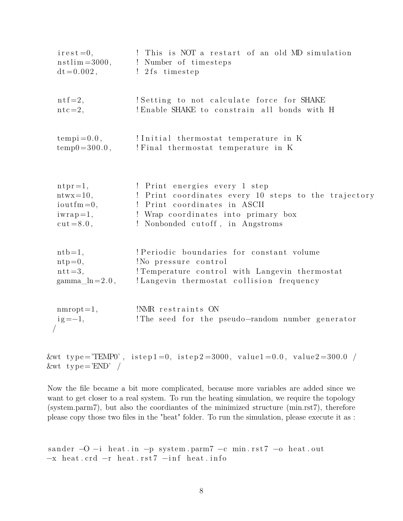| $\text{ir} \, \text{est} = 0,$ | This is NOT a restart of an old MD simulation        |
|--------------------------------|------------------------------------------------------|
| $nstlim = 3000,$               | ! Number of timesteps                                |
| $dt = 0.002$ ,                 | ! 2fs timestep                                       |
| $n \text{tf} = 2,$             | ! Setting to not calculate force for SHAKE           |
| $ntc=2,$                       | ! Enable SHAKE to constrain all bonds with H         |
| $tempi = 0.0,$                 | !Initial thermostat temperature in K                 |
| $temp0 = 300.0$ ,              | ! Final thermostat temperature in K                  |
| $n \text{tr} = 1$ ,            | ! Print energies every 1 step                        |
| $ntwx=10,$                     | ! Print coordinates every 10 steps to the trajectory |
| $i$ outfm=0,                   | ! Print coordinates in ASCII                         |
| $iwrap=1,$                     | ! Wrap coordinates into primary box                  |
| $cut = 8.0$ ,                  | ! Nonbonded cutoff, in Angstroms                     |
| $nth=1,$                       | ! Periodic boundaries for constant volume            |
| $ntp=0,$                       | !No pressure control                                 |
| $ntt=3,$                       | ! Temperature control with Langevin thermostat       |
| $\text{gamma\_ln}=2.0$ ,       | !Langevin thermostat collision frequency             |
| $mmrot=1,$                     | !NMR restraints ON                                   |
| $ig = -1,$                     | The seed for the pseudo-random number generator      |
|                                |                                                      |

&wt type="TEMP0", istep1=0, istep2=3000, value1=0.0, value2=300.0 /  $&wt$  type='END' /

Now the file became a bit more complicated, because more variables are added since we want to get closer to a real system. To run the heating simulation, we require the topology (system.parm7), but also the coordiantes of the minimized structure (min.rst7), therefore please copy those two files in the "heat" folder. To run the simulation, please execute it as :

```
sander -O −i heat.in -p system.parm7 -c min.rst7 -o heat.out
−x heat.crd −r heat.rst7 −inf heat.info
```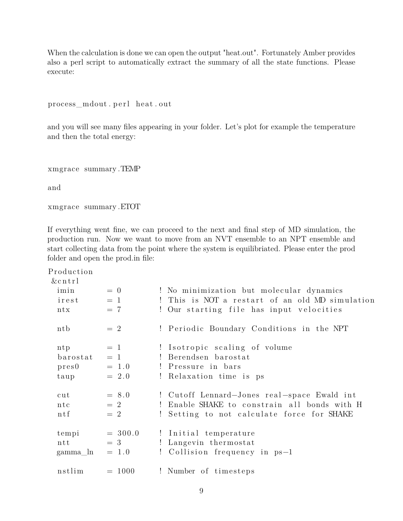When the calculation is done we can open the output "heat.out". Fortunately Amber provides also a perl script to automatically extract the summary of all the state functions. Please execute:

process\_mdout.perl heat.out

and you will see many files appearing in your folder. Let's plot for example the temperature and then the total energy:

xmgrace summary .TEMP

and

xmgrace summary .ETOT

If everything went fine, we can proceed to the next and final step of MD simulation, the production run. Now we want to move from an NVT ensemble to an NPT ensemble and start collecting data from the point where the system is equilibriated. Please enter the prod folder and open the prod.in file:

Production

| $&$ cntrl     |           |                                                 |
|---------------|-----------|-------------------------------------------------|
| imin          | $= 0$     | ! No minimization but molecular dynamics        |
| irest         | $= 1$     | ! This is NOT a restart of an old MD simulation |
| ntx           | $= 7$     | ! Our starting file has input velocities        |
| ntb           | $= 2$     | ! Periodic Boundary Conditions in the NPT       |
| ntp           | $=$ 1     | ! Isotropic scaling of volume                   |
| barostat      | $= 1$     | ! Berendsen barostat                            |
| pres0         | $= 1.0$   | ! Pressure in bars                              |
| taup          | $= 2.0$   | ! Relaxation time is ps                         |
| cut           | $= 8.0$   | ! Cutoff Lennard-Jones real-space Ewald int     |
| ntc           | $= 2$     | ! Enable SHAKE to constrain all bonds with H    |
| $n \, t \, f$ | $=2$      | ! Setting to not calculate force for SHAKE      |
| tempi         | $= 300.0$ | ! Initial temperature                           |
| $n$ tt        | $=$ 3     | ! Langevin thermostat                           |
| gamma_ln      | $= 1.0$   | ! Collision frequency in ps-1                   |
| nstlim        | $= 1000$  | ! Number of timesteps                           |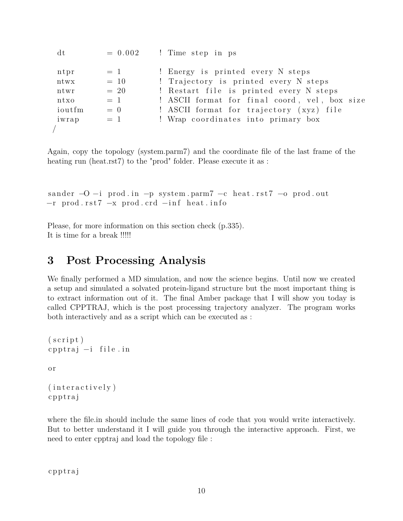| dt     | $= 0.002$ | ! Time step in ps                             |
|--------|-----------|-----------------------------------------------|
| ntpr   | $=$ 1     | ! Energy is printed every N steps             |
| ntwx   | $= 10$    | ! Trajectory is printed every N steps         |
| ntwr   | $= 20$    | ! Restart file is printed every N steps       |
| ntxo   | $= 1$     | ! ASCII format for final coord, vel, box size |
| ioutfm | $= 0$     | ! ASCII format for trajectory (xyz) file      |
| iwrap  | $= 1$     | ! Wrap coordinates into primary box           |
|        |           |                                               |

Again, copy the topology (system.parm7) and the coordinate file of the last frame of the heating run (heat.rst7) to the "prod" folder. Please execute it as :

sander  $-O -i$  prod. in  $-p$  system . parm7  $-c$  heat . rst7  $-o$  prod. out −r prod.rst7 −x prod.crd −inf heat.info

Please, for more information on this section check (p.335). It is time for a break !!!!!

### **3 Post Processing Analysis**

We finally performed a MD simulation, and now the science begins. Until now we created a setup and simulated a solvated protein-ligand structure but the most important thing is to extract information out of it. The final Amber package that I will show you today is called CPPTRAJ, which is the post processing trajectory analyzer. The program works both interactively and as a script which can be executed as :

```
(s c r i p t )c p p t r aj −i file.in
o r
(interactively)c p p t r aj
```
where the file.in should include the same lines of code that you would write interactively. But to better understand it I will guide you through the interactive approach. First, we need to enter cpptraj and load the topology file :

c p p t r aj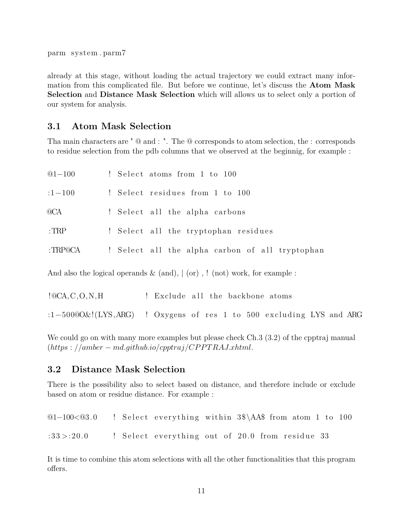parm system . parm7

already at this stage, without loading the actual trajectory we could extract many information from this complicated file. But before we continue, let's discuss the **Atom Mask Selection** and **Distance Mask Selection** which will allows us to select only a portion of our system for analysis.

#### **3.1 Atom Mask Selection**

Tha main characters are " @ and : ". The @ corresponds to atom selection, the : corresponds to residue selection from the pdb columns that we observed at the beginnig, for example :

| $@1 - 100$      | ! Select atoms from 1 to 100                    |
|-----------------|-------------------------------------------------|
| $:1 - 100$      | ! Select residues from 1 to 100                 |
| @ <sub>CA</sub> | ! Select all the alpha carbons                  |
| $:$ TRP         | ! Select all the tryptophan residues            |
| :TRP@CA         | ! Select all the alpha carbon of all tryptophan |

And also the logical operands  $\&$  (and),  $\vert$  (or),  $\vert$  (not) work, for example :

| !@CA, C, O, N, H |  |  |  |  | ! Exclude all the backbone atoms |  |
|------------------|--|--|--|--|----------------------------------|--|
|------------------|--|--|--|--|----------------------------------|--|

:1−500 $@O&!(LYS, ARG)$  ! Oxygens of res 1 to 500 excluding LYS and ARG

We could go on with many more examples but please check Ch.3 (3.2) of the cpptraj manual (*https* : *//amber* − *md.github.io/cpptraj/CP P T RAJ.xhtml*.

#### **3.2 Distance Mask Selection**

There is the possibility also to select based on distance, and therefore include or exclude based on atom or residue distance. For example :

©1-100<©3.0 ! Select everything within 3\$\AA\$ from atom 1 to 100  $:33$   $>$ :20.0 ! Select everything out of 20.0 from residue 33

It is time to combine this atom selections with all the other functionalities that this program offers.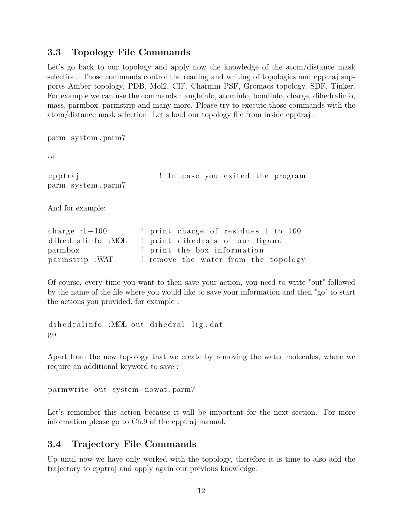### **3.3 Topology File Commands**

Let's go back to our topology and apply now the knowledge of the atom/distance mask selection. Those commands control the reading and writing of topologies and cpptraj supports Amber topology, PDB, Mol2, CIF, Charmm PSF, Gromacs topology, SDF, Tinker. For example we can use the commands : angleinfo, atominfo, bondinfo, charge, dihedralinfo, mass, parmbox, parmstrip and many more. Please try to execute those commands with the atom/distance mask selection. Let's load our topology file from inside cpptraj :

```
parm system . parm7
o r
c p p t raj \alpha ! In case you exited the program
parm system . parm7
And for example:
charge :1−100 ! print charge of residues 1 to 100
dihedralinfo :MOL ! print dihedrals of our ligand
parmbox : print the box information
parmstrip :WAT ! remove the water from the topology
```
Of course, every time you want to then save your action, you need to write "out" followed by the name of the file where you would like to save your information and then "go" to start the actions you provided, for example :

dihedralinfo :MOL out dihedral-lig.dat go

Apart from the new topology that we create by removing the water molecules, where we require an additional keyword to save :

parmwrite out system−nowat . parm7

Let's remember this action because it will be important for the next section. For more information please go to Ch.9 of the cpptraj manual.

### **3.4 Trajectory File Commands**

Up until now we have only worked with the topology, therefore it is time to also add the trajectory to cpptraj and apply again our previous knowledge.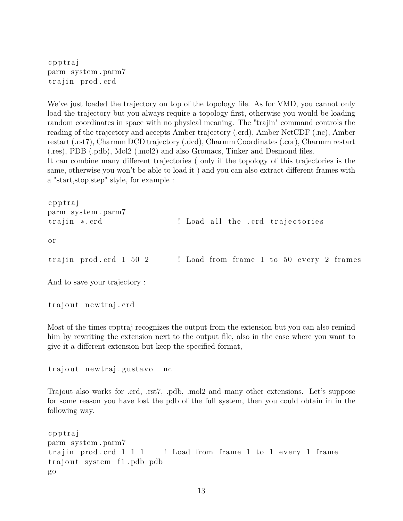c p p t r a j parm system . parm7 trajin prod.crd

We've just loaded the trajectory on top of the topology file. As for VMD, you cannot only load the trajectory but you always require a topology first, otherwise you would be loading random coordinates in space with no physical meaning. The "trajin" command controls the reading of the trajectory and accepts Amber trajectory (.crd), Amber NetCDF (.nc), Amber restart (.rst7), Charmm DCD trajectory (.dcd), Charmm Coordinates (.cor), Charmm restart (.res), PDB (.pdb), Mol2 (.mol2) and also Gromacs, Tinker and Desmond files. It can combine many different trajectories ( only if the topology of this trajectories is the same, otherwise you won't be able to load it ) and you can also extract different frames with a "start,stop,step" style, for example :

```
c p p t r aj
parm system . parm7
t r a j i n ∗ . c rd ! Load a l l the . c rd t r a j e c t o r i e s
o r
trajin prod. crd 1\,50\,2 ! Load from frame 1 to 50\, every 2 frames
And to save your trajectory :
```
trajout newtraj.crd

Most of the times cpptraj recognizes the output from the extension but you can also remind him by rewriting the extension next to the output file, also in the case where you want to give it a different extension but keep the specified format,

trajout newtraj .gustavo nc

Trajout also works for .crd, .rst7, .pdb, .mol2 and many other extensions. Let's suppose for some reason you have lost the pdb of the full system, then you could obtain in in the following way.

```
c p p t r aj
parm system . parm7
trajin prod. crd 1 \ 1 \ 1 ! Load from frame 1 to 1 every 1 frame
trajout system−f1.pdb pdb
go
```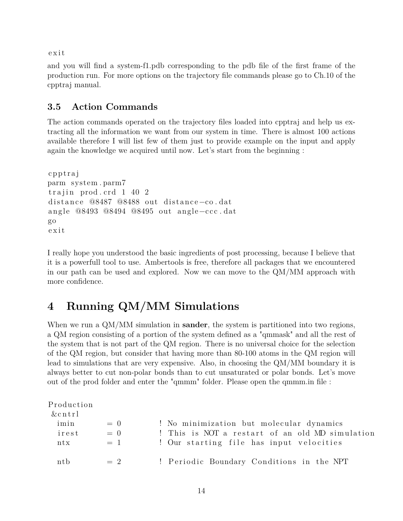e x i t

and you will find a system-f1.pdb corresponding to the pdb file of the first frame of the production run. For more options on the trajectory file commands please go to Ch.10 of the cpptraj manual.

### **3.5 Action Commands**

The action commands operated on the trajectory files loaded into cpptraj and help us extracting all the information we want from our system in time. There is almost 100 actions available therefore I will list few of them just to provide example on the input and apply again the knowledge we acquired until now. Let's start from the beginning :

```
c p p t r aj
parm system . parm7
trajin prod.crd 1\;40\;2distance @8487 @8488 out distance-co.dat
angle @8493 @8494 @8495 out angle−ccc.dat
go
e x i t
```
I really hope you understood the basic ingredients of post processing, because I believe that it is a powerfull tool to use. Ambertools is free, therefore all packages that we encountered in our path can be used and explored. Now we can move to the QM/MM approach with more confidence.

## **4 Running QM/MM Simulations**

When we run a QM/MM simulation in **sander**, the system is partitioned into two regions, a QM region consisting of a portion of the system defined as a "qmmask" and all the rest of the system that is not part of the QM region. There is no universal choice for the selection of the QM region, but consider that having more than 80-100 atoms in the QM region will lead to simulations that are very expensive. Also, in choosing the QM/MM boundary it is always better to cut non-polar bonds than to cut unsaturated or polar bonds. Let's move out of the prod folder and enter the "qmmm" folder. Please open the qmmm.in file :

| Production<br>$&$ cntrl |                         |                                                                                                                                         |
|-------------------------|-------------------------|-----------------------------------------------------------------------------------------------------------------------------------------|
| imin<br>irest<br>ntx    | $= 0$<br>$= 0$<br>$= 1$ | ! No minimization but molecular dynamics<br>! This is NOT a restart of an old MD simulation<br>! Our starting file has input velocities |
| ntb                     | $= 2$                   | ! Periodic Boundary Conditions in the NPT                                                                                               |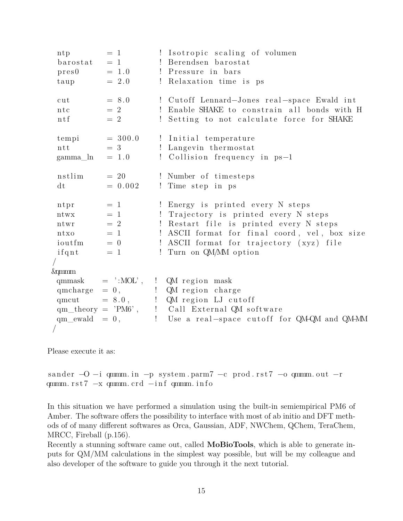```
ntp = 1 ! Isotropic scaling of volumen
 bar{a} = 1 ! Berendsen barostat
 pres0 = 1.0 ! Pressure in bars
 t \text{aup} = 2.0 ! Relaxation time is ps
 cut = 8.0 ! Cutoff Lennard–Jones real-space Ewald int
 ntc = 2 ! Enable SHAKE to constrain all bonds with H
 ntf = 2 ! Setting to not calculate force for SHAKE
 tempi = 300.0 ! Initial temperature
 ntt = 3 ! Langevin thermostat
gamma \ln = 1.0 ! Collision frequency in ps−1
 \text{nstlim} = 20 ! Number of timesteps
 dt = 0.002 ! Time step in ps
 ntpr = 1 ! Energy is printed every N steps
ntwx = 1 ! Trajectory is printed every N steps
ntwr = 2 ! Restart file is printed every N steps
 ntxo = 1 ! ASCII format for final coord, vel, box size
 i ioutfm = 0 ! ASCII format for trajectory (xyz) file
 if qnt = 1 ! Turn on QM/MM option
/
&qmmm
qmmask = ' : MOL', ! QM region maskqmcharge = 0, \qquad ! QM region charge
qmcut = 8.0, \therefore QM region LJ cutoff
qm\_theory = 'PM6', ! Call External QM software
qm ewald = 0, \qquad ! Use a real –space cutoff for QM+QM and QM+MM
/
```
Please execute it as:

```
sander -O -i qmmm. in -p system . parm7 -c prod. rst7 -o qmmm. out -rqmmm.rst7 -x qmmm.crd -inf qmmm. info
```
In this situation we have performed a simulation using the built-in semiempirical PM6 of Amber. The software offers the possibility to interface with most of ab initio and DFT methods of of many different softwares as Orca, Gaussian, ADF, NWChem, QChem, TeraChem, MRCC, Fireball (p.156).

Recently a stunning software came out, called **MoBioTools**, which is able to generate inputs for QM/MM calculations in the simplest way possible, but will be my colleague and also developer of the software to guide you through it the next tutorial.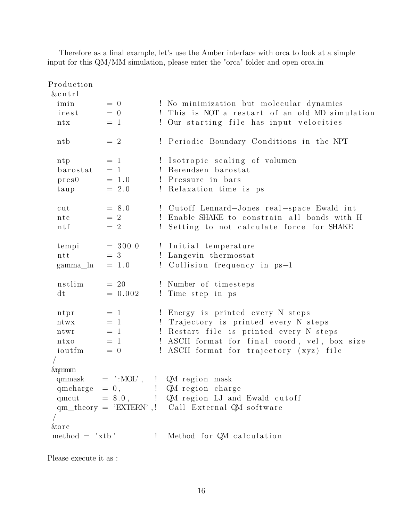Production  $&$  c n t r l  $\lim_{n \to \infty}$  = 0  $\lim_{n \to \infty}$  No minimization but molecular dynamics irest  $= 0$  ! This is NOT a restart of an old MD simulation ntx  $= 1$  ! Our starting file has input velocities ntb  $= 2$  ! Periodic Boundary Conditions in the NPT ntp  $= 1$  ! Isotropic scaling of volumen  $bar{a} = 1$  ! Berendsen barostat  $pres0 = 1.0$  ! Pressure in bars  $t \text{aup}$  = 2.0 ! Relaxation time is ps cut  $= 8.0$  ! Cutoff Lennard–Jones real-space Ewald int ntc  $= 2$  ! Enable SHAKE to constrain all bonds with H ntf  $= 2$  ! Setting to not calculate force for SHAKE  $tempi = 300.0$  ! Initial temperature ntt  $= 3$  ! Langevin thermostat gamma  $ln = 1.0$  ! Collision frequency in ps−1  $n_{\text{est}} = 20$  ! Number of timesteps dt  $= 0.002$  ! Time step in ps ntpr  $= 1$  ! Energy is printed every N steps ntwx  $= 1$  ! Trajectory is printed every N steps ntwr  $= 1$  ! Restart file is printed every N steps ntxo  $= 1$  ! ASCII format for final coord, vel, box size  $i$  ioutfm  $= 0$  ! ASCII format for trajectory (xyz) file / &qmmm qmmask  $=$  ':MOL', ! QM region mask qmcharge  $= 0$ ,  $\qquad$  ! QM region charge qmcut  $= 8.0$ , ! QM region LJ and Ewald cutoff qm theory  $=$  'EXTERN',  $\blacksquare$  Call External QM software / &o r c  $\text{method} = 'xtb'$  ! Method for QM calculation

Therefore as a final example, let's use the Amber interface with orca to look at a simple input for this QM/MM simulation, please enter the "orca" folder and open orca.in

Please execute it as :